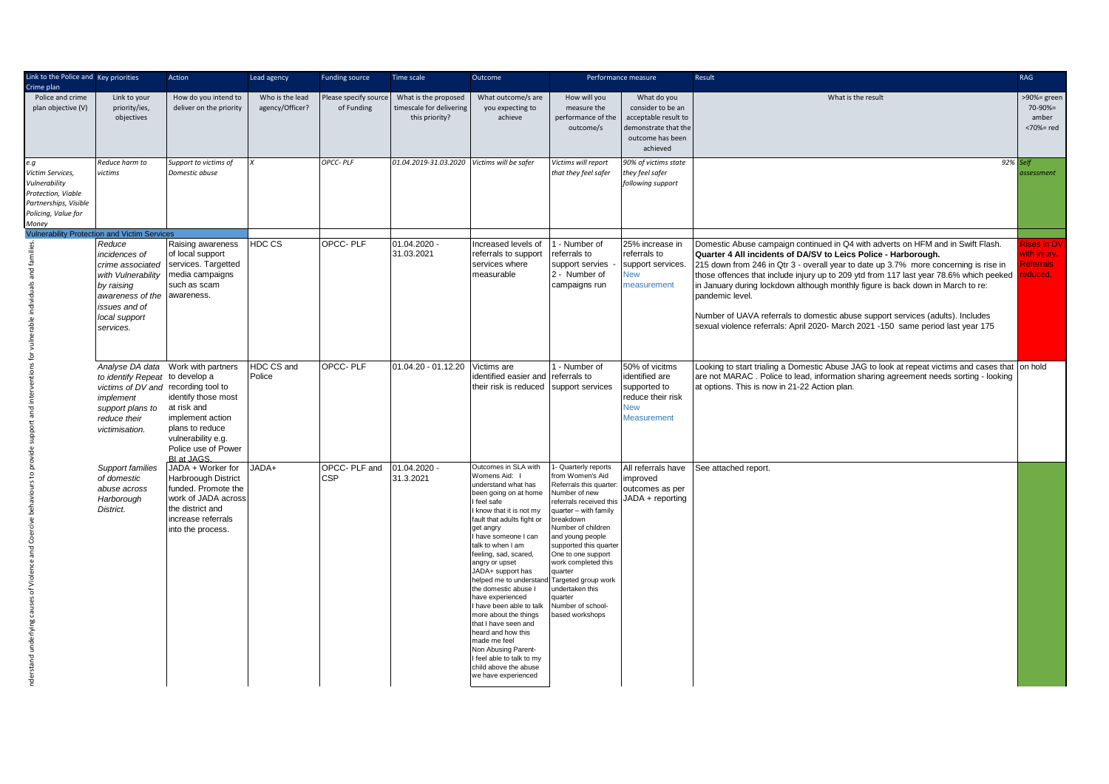| Link to the Police and Key priorities<br>Crime plan                                                                                          |                                                                                                                                                                                                           | Action                                                                                                                                                                      | Lead agency                        | <b>Funding source</b>              | Time scale                                                         | Outcome                                                                                                                                                                                                                                                                                                                                                                                                                                                                                                                                                                              |                                                                                                                                                                                                                                                                                                                                                                             | Performance measure                                                                                              | Result                                                                                                                                                                                                                                                                                                                                                                                                                                                                                                                                                                                                          | <b>RAG</b>                                                |
|----------------------------------------------------------------------------------------------------------------------------------------------|-----------------------------------------------------------------------------------------------------------------------------------------------------------------------------------------------------------|-----------------------------------------------------------------------------------------------------------------------------------------------------------------------------|------------------------------------|------------------------------------|--------------------------------------------------------------------|--------------------------------------------------------------------------------------------------------------------------------------------------------------------------------------------------------------------------------------------------------------------------------------------------------------------------------------------------------------------------------------------------------------------------------------------------------------------------------------------------------------------------------------------------------------------------------------|-----------------------------------------------------------------------------------------------------------------------------------------------------------------------------------------------------------------------------------------------------------------------------------------------------------------------------------------------------------------------------|------------------------------------------------------------------------------------------------------------------|-----------------------------------------------------------------------------------------------------------------------------------------------------------------------------------------------------------------------------------------------------------------------------------------------------------------------------------------------------------------------------------------------------------------------------------------------------------------------------------------------------------------------------------------------------------------------------------------------------------------|-----------------------------------------------------------|
| Police and crime<br>plan objective (V)                                                                                                       | Link to your<br>priority/ies,<br>objectives                                                                                                                                                               | How do you intend to<br>deliver on the priority                                                                                                                             | Who is the lead<br>agency/Officer? | lease specify source<br>of Funding | What is the proposed<br>timescale for delivering<br>this priority? | What outcome/s are<br>you expecting to<br>achieve                                                                                                                                                                                                                                                                                                                                                                                                                                                                                                                                    | How will you<br>measure the<br>performance of the<br>outcome/s                                                                                                                                                                                                                                                                                                              | What do you<br>consider to be an<br>acceptable result to<br>demonstrate that the<br>outcome has been<br>achieved | What is the result                                                                                                                                                                                                                                                                                                                                                                                                                                                                                                                                                                                              | >90%= green<br>$70 - 90% =$<br>amber<br><70%= red         |
| e.g<br>Victim Services,<br>Vulnerability<br>Protection, Viable<br>Partnerships, Visible<br>Policing, Value for<br>Money                      | Reduce harm to<br><i>ictims</i>                                                                                                                                                                           | Support to victims of<br>Domestic abuse                                                                                                                                     |                                    | OPCC-PLF                           | 01.04.2019-31.03.2020                                              | Victims will be safer                                                                                                                                                                                                                                                                                                                                                                                                                                                                                                                                                                | Victims will report<br>hat they feel safer                                                                                                                                                                                                                                                                                                                                  | 90% of victims state<br>hey feel safer<br>following support                                                      | 92%                                                                                                                                                                                                                                                                                                                                                                                                                                                                                                                                                                                                             | elf<br><b>issessment</b>                                  |
|                                                                                                                                              | <b>Vulnerability Protection and Victim Services</b><br>Reduce<br>incidences of<br>crime associated<br>with Vulnerability<br>by raising<br>awareness of the<br>issues and of<br>local support<br>services. | Raising awareness<br>of local support<br>services. Targetted<br>media campaigns<br>such as scam<br>awareness.                                                               | HDC CS                             | OPCC-PLF                           | $01.04.2020 -$<br>31.03.2021                                       | Increased levels of<br>referrals to support<br>services where<br>measurable                                                                                                                                                                                                                                                                                                                                                                                                                                                                                                          | 1 - Number of<br>referrals to<br>support servies<br>2 - Number of<br>campaigns run                                                                                                                                                                                                                                                                                          | 25% increase in<br>referrals to<br>support services.<br><b>New</b><br>measurement                                | Domestic Abuse campaign continued in Q4 with adverts on HFM and in Swift Flash.<br>Quarter 4 All incidents of DA/SV to Leics Police - Harborough.<br>215 down from 246 in Qtr 3 - overall year to date up 3.7% more concerning is rise in<br>those offences that include injury up to 209 ytd from 117 last year 78.6% which peeked<br>in January during lockdown although monthly figure is back down in March to re:<br>pandemic level.<br>Number of UAVA referrals to domestic abuse support services (adults). Includes<br>sexual violence referrals: April 2020- March 2021 -150 same period last year 175 | ises in D\<br>vith injury<br><b>Referrals</b><br>reduced. |
|                                                                                                                                              | to identify Repeat to develop a<br>victims of DV and recording tool to<br>implement<br>support plans to<br>reduce their<br>victimisation.                                                                 | Analyse DA data Work with partners<br>identify those most<br>at risk and<br>implement action<br>plans to reduce<br>vulnerability e.g.<br>Police use of Power<br>BI at JAGS. | HDC CS and<br>Police               | OPCC-PLF                           | 01.04.20 - 01.12.20 Victims are                                    | identified easier and<br>their risk is reduced                                                                                                                                                                                                                                                                                                                                                                                                                                                                                                                                       | 1 - Number of<br>referrals to<br>support services                                                                                                                                                                                                                                                                                                                           | 50% of vicitms<br>identified are<br>supported to<br>reduce their risk<br>New<br><b>Measurement</b>               | Looking to start trialing a Domestic Abuse JAG to look at repeat victims and cases that on hold<br>are not MARAC. Police to lead, information sharing agreement needs sorting - looking<br>at options. This is now in 21-22 Action plan.                                                                                                                                                                                                                                                                                                                                                                        |                                                           |
| nderstand underlying causes of Violence and Coercive behaviours to provide support and interventions for vulnerable individuals and families | Support families<br>of domestic<br>abuse across<br>Harborough<br>District.                                                                                                                                | JADA + Worker for<br>Harbroough District<br>funded. Promote the<br>work of JADA across<br>the district and<br>increase referrals<br>into the process.                       | JADA+                              | OPCC-PLF and<br><b>CSP</b>         | 01.04.2020 -<br>31.3.2021                                          | Outcomes in SLA with<br>Womens Aid: I<br>understand what has<br>been going on at home<br>I feel safe<br>I know that it is not my<br>fault that adults fight or<br>get angry<br>have someone I can<br>talk to when I am<br>feeling, sad, scared,<br>angry or upset<br>JADA+ support has<br>helped me to understand<br>the domestic abuse I<br>have experienced<br>I have been able to talk<br>more about the things<br>that I have seen and<br>heard and how this<br>made me feel<br>Non Abusing Parent-<br>I feel able to talk to my<br>child above the abuse<br>we have experienced | - Quarterly reports<br>rom Women's Aid<br>Referrals this quarter<br>Number of new<br>referrals received this<br>quarter - with family<br>breakdown<br>Number of children<br>and young people<br>supported this quarter<br>One to one support<br>work completed this<br>quarter<br>Targeted group work<br>undertaken this<br>quarter<br>Number of school-<br>based workshops | improved<br>outcomes as per<br>JADA + reporting                                                                  | All referrals have See attached report.                                                                                                                                                                                                                                                                                                                                                                                                                                                                                                                                                                         |                                                           |
|                                                                                                                                              |                                                                                                                                                                                                           |                                                                                                                                                                             |                                    |                                    |                                                                    |                                                                                                                                                                                                                                                                                                                                                                                                                                                                                                                                                                                      |                                                                                                                                                                                                                                                                                                                                                                             |                                                                                                                  |                                                                                                                                                                                                                                                                                                                                                                                                                                                                                                                                                                                                                 |                                                           |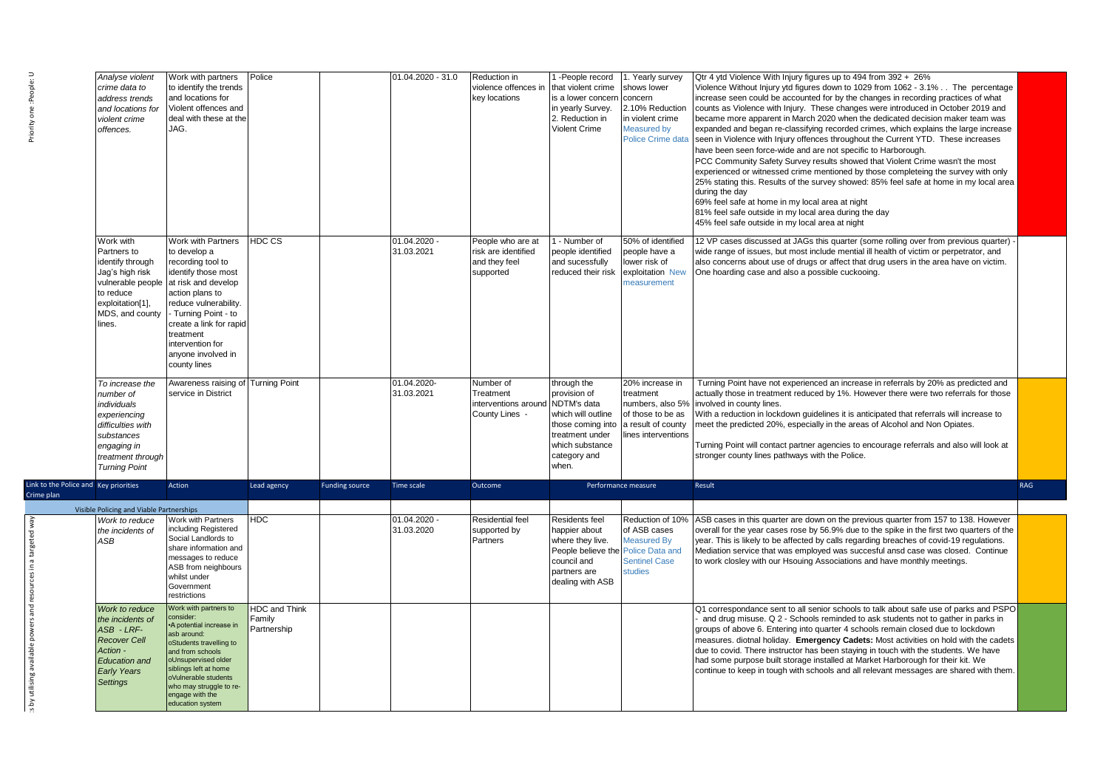| Priority one :People:                               | Analyse violent<br>crime data to<br>address trends<br>and locations for<br>violent crime<br>offences.                                                      | Work with partners<br>to identify the trends<br>and locations for<br>Violent offences and<br>deal with these at the<br>JAG.                                                                                                                                                                                   | Police                                        |                       | 01.04.2020 - 31.0         | Reduction in<br>violence offences in<br>key locations                  | 1-People record<br>that violent crime<br>is a lower concerr<br>in yearly Survey.<br>2. Reduction in<br><b>Violent Crime</b>                          | . Yearly survey<br>shows lower<br>concern<br>2.10% Reductior<br>in violent crime<br>Measured by<br>Police Crime data | Qtr 4 ytd Violence With Injury figures up to 494 from 392 + 26%<br>Violence Without Injury ytd figures down to 1029 from 1062 - 3.1% The percentage<br>increase seen could be accounted for by the changes in recording practices of what<br>counts as Violence with Injury. These changes were introduced in October 2019 and<br>became more apparent in March 2020 when the dedicated decision maker team was<br>expanded and began re-classifying recorded crimes, which explains the large increase<br>seen in Violence with Injury offences throughout the Current YTD. These increases<br>have been seen force-wide and are not specific to Harborough.<br>PCC Community Safety Survey results showed that Violent Crime wasn't the most<br>experienced or witnessed crime mentioned by those completeing the survey with only<br>25% stating this. Results of the survey showed: 85% feel safe at home in my local area<br>during the day<br>69% feel safe at home in my local area at night<br>81% feel safe outside in my local area during the day<br>45% feel safe outside in my local area at night |     |
|-----------------------------------------------------|------------------------------------------------------------------------------------------------------------------------------------------------------------|---------------------------------------------------------------------------------------------------------------------------------------------------------------------------------------------------------------------------------------------------------------------------------------------------------------|-----------------------------------------------|-----------------------|---------------------------|------------------------------------------------------------------------|------------------------------------------------------------------------------------------------------------------------------------------------------|----------------------------------------------------------------------------------------------------------------------|-----------------------------------------------------------------------------------------------------------------------------------------------------------------------------------------------------------------------------------------------------------------------------------------------------------------------------------------------------------------------------------------------------------------------------------------------------------------------------------------------------------------------------------------------------------------------------------------------------------------------------------------------------------------------------------------------------------------------------------------------------------------------------------------------------------------------------------------------------------------------------------------------------------------------------------------------------------------------------------------------------------------------------------------------------------------------------------------------------------------|-----|
|                                                     | Work with<br>Partners to<br>identify through<br>Jag's high risk<br>to reduce<br>exploitation[1],<br>lines.                                                 | Work with Partners<br>to develop a<br>recording tool to<br>identify those most<br>vulnerable people at risk and develop<br>action plans to<br>reduce vulnerability.<br>MDS, and county - Turning Point - to<br>create a link for rapid<br>treatment<br>intervention for<br>anyone involved in<br>county lines | HDC CS                                        |                       | 01.04.2020<br>31.03.2021  | People who are at<br>risk are identified<br>and they feel<br>supported | 1 - Number of<br>people identified<br>and sucessfully<br>reduced their risk                                                                          | 50% of identified<br>people have a<br>lower risk of<br>exploitation New<br>neasurement                               | 12 VP cases discussed at JAGs this quarter (some rolling over from previous quarter)<br>wide range of issues, but most include mential ill health of victim or perpetrator, and<br>also concerns about use of drugs or affect that drug users in the area have on victim.<br>One hoarding case and also a possible cuckooing.                                                                                                                                                                                                                                                                                                                                                                                                                                                                                                                                                                                                                                                                                                                                                                                   |     |
|                                                     | To increase the<br>number of<br>individuals<br>experiencing<br>difficulties with<br>substances<br>engaging in<br>treatment through<br><b>Turning Point</b> | Awareness raising of Turning Point<br>service in District                                                                                                                                                                                                                                                     |                                               |                       | 01.04.2020-<br>31.03.2021 | Number of<br>Treatment<br>interventions around<br>County Lines -       | through the<br>provision of<br>NDTM's data<br>which will outline<br>those coming into<br>treatment under<br>which substance<br>category and<br>when. | 20% increase in<br>treatment<br>numbers, also 5%<br>of those to be as<br>a result of county<br>lines interventions   | Turning Point have not experienced an increase in referrals by 20% as predicted and<br>actually those in treatment reduced by 1%. However there were two referrals for those<br>involved in county lines.<br>With a reduction in lockdown guidelines it is anticipated that referrals will increase to<br>meet the predicted 20%, especially in the areas of Alcohol and Non Opiates.<br>Turning Point will contact partner agencies to encourage referrals and also will look at<br>stronger county lines pathways with the Police.                                                                                                                                                                                                                                                                                                                                                                                                                                                                                                                                                                            |     |
| Link to the Police and Key priorities<br>Crime plan |                                                                                                                                                            | Action                                                                                                                                                                                                                                                                                                        | Lead agency                                   | <b>Funding source</b> | Time scale                | Outcome                                                                |                                                                                                                                                      | Performance measure                                                                                                  | Result                                                                                                                                                                                                                                                                                                                                                                                                                                                                                                                                                                                                                                                                                                                                                                                                                                                                                                                                                                                                                                                                                                          | RAG |
|                                                     | Visible Policing and Viable Partnerships                                                                                                                   |                                                                                                                                                                                                                                                                                                               |                                               |                       |                           |                                                                        |                                                                                                                                                      |                                                                                                                      |                                                                                                                                                                                                                                                                                                                                                                                                                                                                                                                                                                                                                                                                                                                                                                                                                                                                                                                                                                                                                                                                                                                 |     |
| a targeted way                                      | Work to reduce<br>the incidents of<br>ASB                                                                                                                  | Work with Partners<br>including Registered<br>Social Landlords to<br>share information and<br>messages to reduce<br>ASB from neighbours<br>whilst under<br>Government<br>restrictions                                                                                                                         | <b>HDC</b>                                    |                       | 01.04.2020<br>31.03.2020  | <b>Residential feel</b><br>supported by<br>Partners                    | Residents feel<br>happier about<br>where they live.<br>People believe the<br>council and<br>partners are<br>dealing with ASB                         | Reduction of 10%<br>of ASB cases<br><b>Measured By</b><br><b>Police Data and</b><br><b>Sentinel Case</b><br>studies  | ASB cases in this quarter are down on the previous quarter from 157 to 138. However<br>overall for the year cases rose by 56.9% due to the spike in the first two quarters of the<br>year. This is likely to be affected by calls regarding breaches of covid-19 regulations.<br>Mediation service that was employed was succesful ansd case was closed. Continue<br>to work closley with our Hsouing Associations and have monthly meetings.                                                                                                                                                                                                                                                                                                                                                                                                                                                                                                                                                                                                                                                                   |     |
| available powers and resour                         | Work to reduce<br>the incidents of<br>ASB-LRF-<br><b>Recover Cell</b><br>Action -<br><b>Education and</b><br><b>Early Years</b><br><b>Settings</b>         | Work with partners to<br>consider:<br>• A potential increase in<br>asb around:<br>oStudents travelling to<br>and from schools<br>oUnsupervised older<br>siblings left at home<br>oVulnerable students<br>who may struggle to re-<br>engage with the<br>education system                                       | <b>HDC and Think</b><br>Family<br>Partnership |                       |                           |                                                                        |                                                                                                                                                      |                                                                                                                      | Q1 correspondance sent to all senior schools to talk about safe use of parks and PSPO<br>and drug misuse. Q 2 - Schools reminded to ask students not to gather in parks in<br>groups of above 6. Entering into quarter 4 schools remain closed due to lockdown<br>measures. diotnal holiday. Emergency Cadets: Most activities on hold with the cadets<br>due to covid. There instructor has been staying in touch with the students. We have<br>had some purpose built storage installed at Market Harborough for their kit. We<br>continue to keep in tough with schools and all relevant messages are shared with them.                                                                                                                                                                                                                                                                                                                                                                                                                                                                                      |     |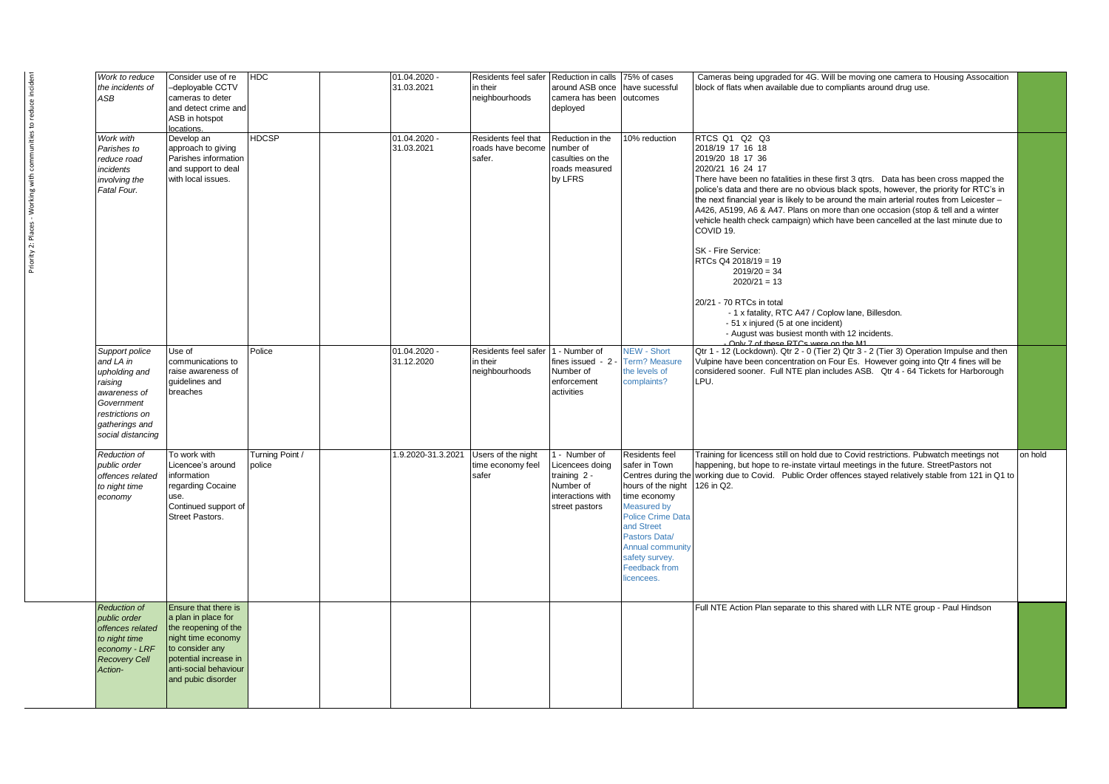| Work to reduce<br>the incidents of<br>ASB                                                                                                       | Consider use of re<br>-deployable CCTV<br>cameras to deter<br>and detect crime and<br>ASB in hotspot<br>locations.                                                                   | HDC                       | 01.04.2020 -<br>31.03.2021 | Residents feel safer<br>in their<br>neighbourhoods | Reduction in calls<br>around ASB once<br>camera has been<br>deployed                                   | 75% of cases<br>have sucessful<br>outcomes                                                                                                                                                                                                                      | Cameras being upgraded for 4G. Will be moving one camera to Housing Assocaition<br>block of flats when available due to compliants around drug use.                                                                                                                                                                                                                                                                                                                                                                                                                                                                                                                                                                                                                                                                                             |         |
|-------------------------------------------------------------------------------------------------------------------------------------------------|--------------------------------------------------------------------------------------------------------------------------------------------------------------------------------------|---------------------------|----------------------------|----------------------------------------------------|--------------------------------------------------------------------------------------------------------|-----------------------------------------------------------------------------------------------------------------------------------------------------------------------------------------------------------------------------------------------------------------|-------------------------------------------------------------------------------------------------------------------------------------------------------------------------------------------------------------------------------------------------------------------------------------------------------------------------------------------------------------------------------------------------------------------------------------------------------------------------------------------------------------------------------------------------------------------------------------------------------------------------------------------------------------------------------------------------------------------------------------------------------------------------------------------------------------------------------------------------|---------|
| Work with<br>Parishes to<br>reduce road<br>incidents<br>involving the<br>Fatal Four.                                                            | Develop an<br>approach to giving<br>Parishes information<br>and support to deal<br>with local issues.                                                                                | <b>HDCSP</b>              | 01.04.2020 -<br>31.03.2021 | Residents feel that<br>roads have become<br>safer. | Reduction in the<br>number of<br>casulties on the<br>roads measured<br>by LFRS                         | 10% reduction                                                                                                                                                                                                                                                   | RTCS Q1 Q2 Q3<br>2018/19 17 16 18<br>2019/20 18 17 36<br>2020/21 16 24 17<br>There have been no fatalities in these first 3 qtrs.  Data has been cross mapped the<br>police's data and there are no obvious black spots, however, the priority for RTC's in<br>the next financial year is likely to be around the main arterial routes from Leicester -<br>A426, A5199, A6 & A47. Plans on more than one occasion (stop & tell and a winter<br>vehicle health check campaign) which have been cancelled at the last minute due to<br>COVID 19.<br>SK - Fire Service:<br>RTCs Q4 2018/19 = 19<br>$2019/20 = 34$<br>$2020/21 = 13$<br>20/21 - 70 RTCs in total<br>- 1 x fatality, RTC A47 / Coplow lane, Billesdon.<br>- 51 x injured (5 at one incident)<br>- August was busiest month with 12 incidents.<br>Only 7 of these RTCs were on the M1 |         |
| Support police<br>and LA in<br>upholding and<br>raisina<br>awareness of<br>Government<br>restrictions on<br>gatherings and<br>social distancing | Use of<br>communications to<br>raise awareness of<br>quidelines and<br>breaches                                                                                                      | Police                    | 01.04.2020 -<br>31.12.2020 | Residents feel safer<br>in their<br>neighbourhoods | 1 - Number of<br>fines issued - 2 -<br>Number of<br>enforcement<br>activities                          | <b>NEW - Short</b><br><b>Term? Measure</b><br>the levels of<br>complaints?                                                                                                                                                                                      | Qtr 1 - 12 (Lockdown). Qtr 2 - 0 (Tier 2) Qtr 3 - 2 (Tier 3) Operation Impulse and then<br>Vulpine have been concentration on Four Es. However going into Qtr 4 fines will be<br>considered sooner. Full NTE plan includes ASB. Qtr 4 - 64 Tickets for Harborough<br>LPU.                                                                                                                                                                                                                                                                                                                                                                                                                                                                                                                                                                       |         |
| Reduction of<br>public order<br>offences related<br>to night time<br>economy                                                                    | To work with<br>Licencee's around<br>information<br>regarding Cocaine<br>use.<br>Continued support of<br>Street Pastors.                                                             | Turning Point /<br>police | 1.9.2020-31.3.2021         | Users of the night<br>time economy feel<br>safer   | 1 - Number of<br>Licencees doing<br>training $2 -$<br>Number of<br>interactions with<br>street pastors | Residents feel<br>safer in Town<br>Centres during the<br>hours of the night<br>time economy<br><b>Measured by</b><br><b>Police Crime Data</b><br>and Street<br>Pastors Data/<br><b>Annual community</b><br>safety survey.<br><b>Feedback from</b><br>licencees. | Training for licencess still on hold due to Covid restrictions. Pubwatch meetings not<br>happening, but hope to re-instate virtaul meetings in the future. StreetPastors not<br>working due to Covid. Public Order offences stayed relatively stable from 121 in Q1 to<br>126 in Q2.                                                                                                                                                                                                                                                                                                                                                                                                                                                                                                                                                            | on hold |
| <b>Reduction of</b><br>public order<br>offences related<br>to night time<br>economy - LRF<br><b>Recovery Cell</b><br>Action-                    | Ensure that there is<br>a plan in place for<br>the reopening of the<br>night time economy<br>to consider any<br>potential increase in<br>anti-social behaviour<br>and pubic disorder |                           |                            |                                                    |                                                                                                        |                                                                                                                                                                                                                                                                 | Full NTE Action Plan separate to this shared with LLR NTE group - Paul Hindson                                                                                                                                                                                                                                                                                                                                                                                                                                                                                                                                                                                                                                                                                                                                                                  |         |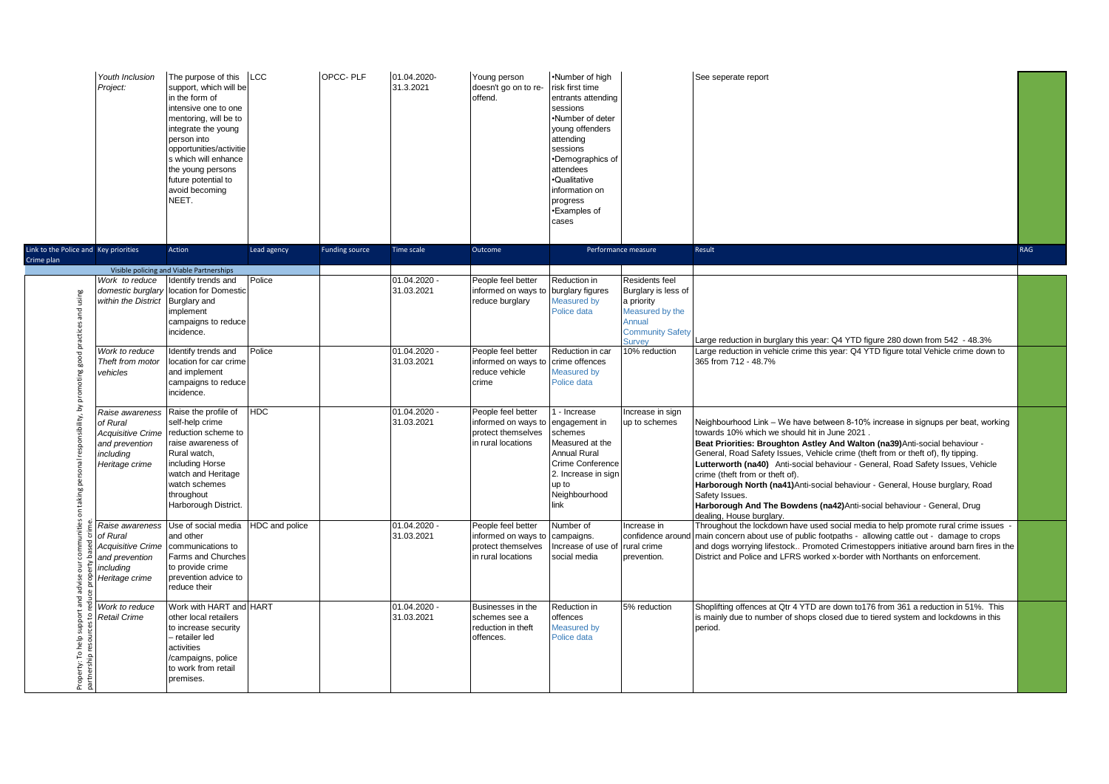|                                                     | Youth Inclusion<br>Project:                                                                              | The purpose of this<br>support, which will be<br>in the form of<br>intensive one to one<br>mentoring, will be to<br>integrate the young<br>person into<br>opportunities/activitie<br>s which will enhance<br>the young persons<br>future potential to<br>avoid becoming<br>NEET. | LCC            | OPCC-PLF              | 01.04.2020-<br>31.3.2021     | Young person<br>doesn't go on to re-<br>offend.                                       | .Number of high<br>risk first time<br>entrants attending<br>sessions<br>•Number of deter<br>young offenders<br>attending<br>sessions<br>•Demographics of<br>attendees<br>·Qualitative<br>information on<br>progress<br>•Examples of<br>cases |                                                                                                                       | See seperate report                                                                                                                                                                                                                                                                                                                                                                                                                                                                                                                                                                                                                   |            |
|-----------------------------------------------------|----------------------------------------------------------------------------------------------------------|----------------------------------------------------------------------------------------------------------------------------------------------------------------------------------------------------------------------------------------------------------------------------------|----------------|-----------------------|------------------------------|---------------------------------------------------------------------------------------|----------------------------------------------------------------------------------------------------------------------------------------------------------------------------------------------------------------------------------------------|-----------------------------------------------------------------------------------------------------------------------|---------------------------------------------------------------------------------------------------------------------------------------------------------------------------------------------------------------------------------------------------------------------------------------------------------------------------------------------------------------------------------------------------------------------------------------------------------------------------------------------------------------------------------------------------------------------------------------------------------------------------------------|------------|
| Link to the Police and Key priorities<br>Crime plan |                                                                                                          | Action                                                                                                                                                                                                                                                                           | Lead agency    | <b>Funding source</b> | Time scale                   | Outcome                                                                               | Performance measure                                                                                                                                                                                                                          |                                                                                                                       | Result                                                                                                                                                                                                                                                                                                                                                                                                                                                                                                                                                                                                                                | <b>RAG</b> |
|                                                     |                                                                                                          | Visible policing and Viable Partnerships                                                                                                                                                                                                                                         |                |                       |                              |                                                                                       |                                                                                                                                                                                                                                              |                                                                                                                       |                                                                                                                                                                                                                                                                                                                                                                                                                                                                                                                                                                                                                                       |            |
| practices and using                                 | Work to reduce<br>domestic burglary<br>within the District                                               | dentify trends and<br>location for Domestic<br>Burglary and<br>implement<br>campaigns to reduce<br>incidence.                                                                                                                                                                    | Police         |                       | $01.04.2020 -$<br>31.03.2021 | People feel better<br>informed on ways to<br>reduce burglary                          | Reduction in<br>burglary figures<br>Measured by<br>Police data                                                                                                                                                                               | Residents feel<br>Burglary is less of<br>a priority<br>Measured by the<br>Annual<br><b>Community Safety</b><br>Survey | Large reduction in burglary this year: Q4 YTD figure 280 down from 542 - 48.3%                                                                                                                                                                                                                                                                                                                                                                                                                                                                                                                                                        |            |
| by promoting good                                   | Work to reduce<br>Theft from motor<br>vehicles                                                           | Identify trends and<br>location for car crime<br>and implement<br>campaigns to reduce<br>incidence.                                                                                                                                                                              | Police         |                       | $01.04.2020 -$<br>31.03.2021 | People feel better<br>informed on ways to<br>reduce vehicle<br>crime                  | Reduction in car<br>crime offences<br>Measured by<br>Police data                                                                                                                                                                             | 10% reduction                                                                                                         | Large reduction in vehicle crime this year: Q4 YTD figure total Vehicle crime down to<br>365 from 712 - 48.7%                                                                                                                                                                                                                                                                                                                                                                                                                                                                                                                         |            |
| on taking personal responsibility,                  | Raise awareness<br>of Rural<br><b>Acquisitive Crime</b><br>and prevention<br>including<br>Heritage crime | Raise the profile of<br>self-help crime<br>reduction scheme to<br>raise awareness of<br>Rural watch,<br>including Horse<br>watch and Heritage<br>watch schemes<br>throughout<br>Harborough District.                                                                             | <b>HDC</b>     |                       | 01.04.2020<br>31.03.2021     | People feel better<br>informed on ways to<br>protect themselves<br>in rural locations | - Increase<br>engagement in<br>schemes<br>Measured at the<br><b>Annual Rural</b><br>Crime Conference<br>2. Increase in sign<br>up to<br>Neighbourhood<br>link                                                                                | Increase in sign<br>up to schemes                                                                                     | Neighbourhood Link – We have between 8-10% increase in signups per beat, working<br>towards 10% which we should hit in June 2021.<br>Beat Priorities: Broughton Astley And Walton (na39) Anti-social behaviour -<br>General, Road Safety Issues, Vehicle crime (theft from or theft of), fly tipping.<br>Lutterworth (na40) Anti-social behaviour - General, Road Safety Issues, Vehicle<br>crime (theft from or theft of).<br>Harborough North (na41) Anti-social behaviour - General, House burglary, Road<br>Safety Issues.<br>Harborough And The Bowdens (na42) Anti-social behaviour - General, Drug<br>dealing. House burglary. |            |
|                                                     | Raise awareness<br>of Rural<br><b>Acquisitive Crime</b><br>and prevention<br>including<br>Heritage crime | Use of social media<br>and other<br>communications to<br>Farms and Churches<br>to provide crime<br>prevention advice to<br>reduce their                                                                                                                                          | HDC and police |                       | $01.04.2020 -$<br>31.03.2021 | People feel better<br>informed on ways to<br>protect themselves<br>in rural locations | Number of<br>campaigns.<br>Increase of use of<br>social media                                                                                                                                                                                | Increase in<br>confidence around<br>rural crime<br>prevention.                                                        | Throughout the lockdown have used social media to help promote rural crime issues<br>main concern about use of public footpaths - allowing cattle out - damage to crops<br>and dogs worrying lifestock Promoted Crimestoppers initiative around barn fires in the<br>District and Police and LFRS worked x-border with Northants on enforcement.                                                                                                                                                                                                                                                                                      |            |
| To help supp<br>으<br>Property:                      | Work to reduce<br><b>Retail Crime</b>                                                                    | Work with HART and HART<br>other local retailers<br>to increase security<br>- retailer led<br>activities<br>campaigns, police<br>to work from retail<br>oremises.                                                                                                                |                |                       | $01.04.2020 -$<br>31.03.2021 | Businesses in the<br>schemes see a<br>reduction in theft<br>offences.                 | Reduction in<br>offences<br>Measured by<br>Police data                                                                                                                                                                                       | 5% reduction                                                                                                          | Shoplifting offences at Qtr 4 YTD are down to176 from 361 a reduction in 51%. This<br>is mainly due to number of shops closed due to tiered system and lockdowns in this<br>period.                                                                                                                                                                                                                                                                                                                                                                                                                                                   |            |